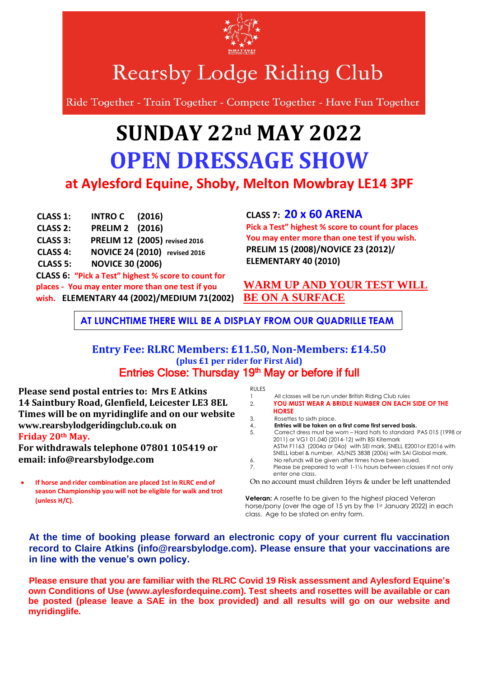

**Rearsby Lodge Riding Club** 

Ride Together - Train Together - Compete Together - Have Fun Together

## **SUNDAY 22nd MAY 2022 OPEN DRESSAGE SHOW at Aylesford Equine, Shoby, Melton Mowbray LE14 3PF**

**CLASS 1: INTRO C (2016) CLASS 2: PRELIM 2 (2016) CLASS 3: PRELIM 12 (2005) revised 2016 CLASS 4: NOVICE 24 (2010) revised 2016 CLASS 5: NOVICE 30 (2006) CLASS 6: "Pick a Test" highest % score to count for places - You may enter more than one test if you wish. ELEMENTARY 44 (2002)/MEDIUM 71(2002)**

## **CLASS 7: 20 x 60 ARENA**

**Pick a Test" highest % score to count for places You may enter more than one test if you wish. PRELIM 15 (2008)/NOVICE 23 (2012)/ ELEMENTARY 40 (2010)**

## **WARM UP AND YOUR TEST WILL BE ON A SURFACE**

**AT LUNCHTIME THERE WILL BE A DISPLAY FROM OUR QUADRILLE TEAM**

## **Entry Fee: RLRC Members: £11.50, Non-Members: £14.50 (plus £1 per rider for First Aid)** Entries Close: Thursday 19<sup>th</sup> May or before if full

**Please send postal entries to: Mrs E Atkins 14 Saintbury Road, Glenfield, Leicester LE3 8EL Times will be on myridinglife and on our website [www.rearsbylodgeridingclub.co.uk](http://www.rearsbylodgeridingclub.co.uk/) on Friday 20th May.**

**For withdrawals telephone 07801 105419 or email: info@rearsbylodge.com** 

• **If horse and rider combination are placed 1st in RLRC end of season Championship you will not be eligible for walk and trot (unless H/C).**

RULES

| 11955 |                                                                     |  |  |
|-------|---------------------------------------------------------------------|--|--|
|       | All classes will be run under British Riding Club rules             |  |  |
| 2.    | <b>YOU MUST WEAR A BRIDLE NUMBER ON EACH SIDE OF THE</b>            |  |  |
|       | <b>HORSE</b>                                                        |  |  |
| 3.    | Rosettes to sixth place.                                            |  |  |
| 4.    | Entries will be taken on a first come first served basis.           |  |  |
| 5.    | Correct dress must be worn – Hard hats to standard PAS 015 (1998 or |  |  |
|       | 2011) or VG1 01.040 (2014-12) with BSI Kitemark                     |  |  |
|       | ASTM F1163 (2004a or 04a) with SEI mark, SNELL E2001or E2016 with   |  |  |
|       | SNELL label & number, AS/NZS 3838 (2006) with SAI Global mark.      |  |  |
| 6.    | No refunds will be given after times have been issued.              |  |  |
|       | Please be prepared to wait 1-1½ hours between classes If not only   |  |  |

7. Please be prepared to wait 1-1½ hours between classes If not only enter one class.

On no account must children 16yrs & under be left unattended

**Veteran:** A rosette to be given to the highest placed Veteran horse/pony (over the age of 15 yrs by the 1st January 2022) in each class. Age to be stated on entry form.

**At the time of booking please forward an electronic copy of your current flu vaccination record to Claire Atkins (info@rearsbylodge.com). Please ensure that your vaccinations are in line with the venue's own policy.** 

**Please ensure that you are familiar with the RLRC Covid 19 Risk assessment and Aylesford Equine's own Conditions of Use (www.aylesfordequine.com). Test sheets and rosettes will be available or can be posted (please leave a SAE in the box provided) and all results will go on our website and myridinglife.**